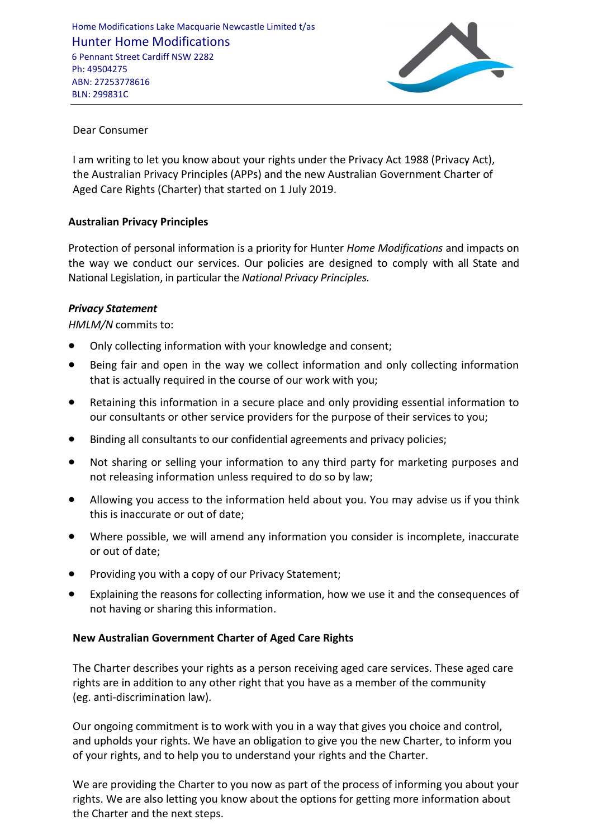

# Dear Consumer

I am writing to let you know about your rights under the Privacy Act 1988 (Privacy Act), the Australian Privacy Principles (APPs) and the new Australian Government Charter of Aged Care Rights (Charter) that started on 1 July 2019.

# **Australian Privacy Principles**

Protection of personal information is a priority for Hunter *Home Modifications* and impacts on the way we conduct our services. Our policies are designed to comply with all State and National Legislation, in particular the *National Privacy Principles.*

### *Privacy Statement*

*HMLM/N* commits to:

- Only collecting information with your knowledge and consent;
- Being fair and open in the way we collect information and only collecting information that is actually required in the course of our work with you;
- Retaining this information in a secure place and only providing essential information to our consultants or other service providers for the purpose of their services to you;
- Binding all consultants to our confidential agreements and privacy policies;
- Not sharing or selling your information to any third party for marketing purposes and not releasing information unless required to do so by law;
- Allowing you access to the information held about you. You may advise us if you think this is inaccurate or out of date;
- Where possible, we will amend any information you consider is incomplete, inaccurate or out of date;
- Providing you with a copy of our Privacy Statement;
- Explaining the reasons for collecting information, how we use it and the consequences of not having or sharing this information.

#### **New Australian Government Charter of Aged Care Rights**

The Charter describes your rights as a person receiving aged care services. These aged care rights are in addition to any other right that you have as a member of the community (eg. anti-discrimination law).

Our ongoing commitment is to work with you in a way that gives you choice and control, and upholds your rights. We have an obligation to give you the new Charter, to inform you of your rights, and to help you to understand your rights and the Charter.

We are providing the Charter to you now as part of the process of informing you about your rights. We are also letting you know about the options for getting more information about the Charter and the next steps.